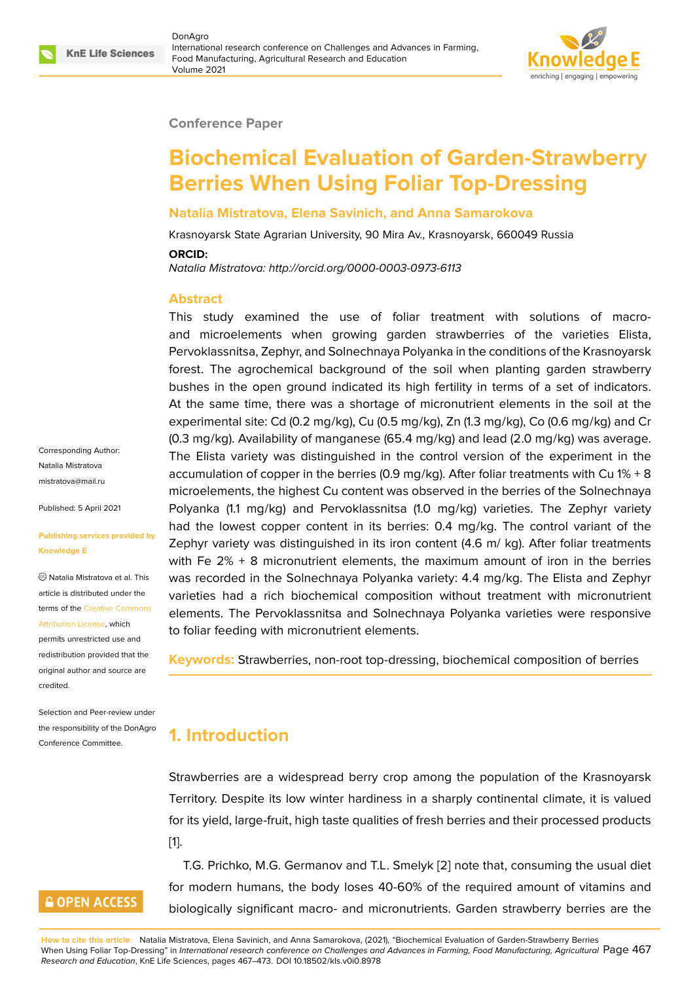#### **Conference Paper**

# **Biochemical Evaluation of Garden-Strawberry Berries When Using Foliar Top-Dressing**

#### **Natalia Mistratova, Elena Savinich, and Anna Samarokova**

Krasnoyarsk State Agrarian University, 90 Mira Av., Krasnoyarsk, 660049 Russia

#### **ORCID:**

*Natalia Mistratova: http://orcid.org/0000-0003-0973-6113*

#### **Abstract**

This study examined the use of foliar treatment with solutions of macroand microelements when growing garden strawberries of the varieties Elista, Pervoklassnitsa, Zephyr, and Solnechnaya Polyanka in the conditions of the Krasnoyarsk forest. The agrochemical background of the soil when planting garden strawberry bushes in the open ground indicated its high fertility in terms of a set of indicators. At the same time, there was a shortage of micronutrient elements in the soil at the experimental site: Cd (0.2 mg/kg), Cu (0.5 mg/kg), Zn (1.3 mg/kg), Co (0.6 mg/kg) and Cr (0.3 mg/kg). Availability of manganese (65.4 mg/kg) and lead (2.0 mg/kg) was average. The Elista variety was distinguished in the control version of the experiment in the accumulation of copper in the berries (0.9 mg/kg). After foliar treatments with Cu 1% + 8 microelements, the highest Cu content was observed in the berries of the Solnechnaya Polyanka (1.1 mg/kg) and Pervoklassnitsa (1.0 mg/kg) varieties. The Zephyr variety had the lowest copper content in its berries: 0.4 mg/kg. The control variant of the Zephyr variety was distinguished in its iron content (4.6 m/ kg). After foliar treatments with Fe  $2\% + 8$  micronutrient elements, the maximum amount of iron in the berries was recorded in the Solnechnaya Polyanka variety: 4.4 mg/kg. The Elista and Zephyr varieties had a rich biochemical composition without treatment with micronutrient elements. The Pervoklassnitsa and Solnechnaya Polyanka varieties were responsive to foliar feeding with micronutrient elements.

**Keywords:** Strawberries, non-root top-dressing, biochemical composition of berries

### **1. Introduction**

Strawberries are a widespread berry crop among the population of the Krasnoyarsk Territory. Despite its low winter hardiness in a sharply continental climate, it is valued for its yield, large-fruit, high taste qualities of fresh berries and their processed products [1].

T.G. Prichko, M.G. Germanov and T.L. Smelyk [2] note that, consuming the usual diet for modern humans, the body loses 40-60% of the required amount of vitamins and [b](#page-5-0)iologically significant macro- and micronutrients. Garden strawberry berries are the

**How to cite this article**: Natalia Mistratova, Elena Savinich, and Anna Samarokova, (2021), "Biochemical Evaluation of Garden-Strawberry Berries When Using Foliar Top-Dressing" in *International research conference on Challenges and Advances in Farming, Food Manufacturing, Agricultural* Page 467 *Research and Education*, KnE Life Sciences, pages 467–473. DOI 10.18502/kls.v0i0.8978

Corresponding Author: Natalia Mistratova mistratova@mail.ru

Published: 5 April 2021

#### **[Publishing service](mailto:mistratova@mail.ru)s provided by Knowledge E**

Natalia Mistratova et al. This article is distributed under the terms of the Creative Commons Attribution License, which

permits unrestricted use and redistribution provided that the original auth[or and source are](https://creativecommons.org/licenses/by/4.0/) [credited.](https://creativecommons.org/licenses/by/4.0/)

Selection and Peer-review under the responsibility of the DonAgro Conference Committee.

### **GOPEN ACCESS**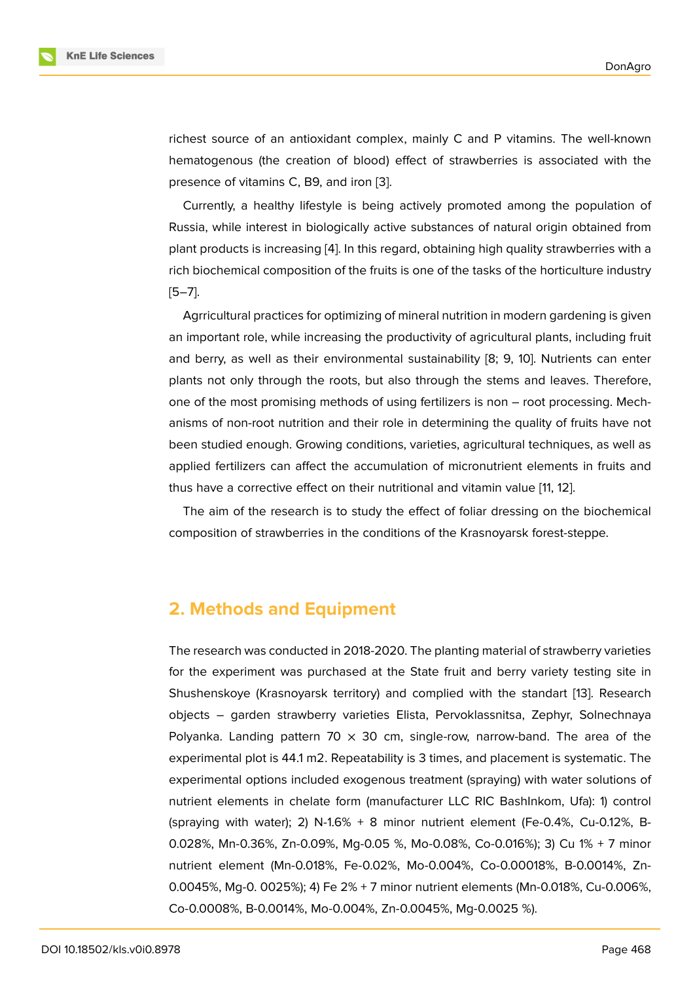richest source of an antioxidant complex, mainly C and P vitamins. The well-known hematogenous (the creation of blood) effect of strawberries is associated with the presence of vitamins C, B9, and iron [3].

Currently, a healthy lifestyle is being actively promoted among the population of Russia, while interest in biologically active substances of natural origin obtained from plant products is increasing [4]. In this [re](#page-5-1)gard, obtaining high quality strawberries with a rich biochemical composition of the fruits is one of the tasks of the horticulture industry [5–7].

Agrricultural practices for [op](#page-5-2)timizing of mineral nutrition in modern gardening is given an important role, while increasing the productivity of agricultural plants, including fruit [an](#page-5-3)[d](#page-5-4) berry, as well as their environmental sustainability [8; 9, 10]. Nutrients can enter plants not only through the roots, but also through the stems and leaves. Therefore, one of the most promising methods of using fertilizers is non – root processing. Mechanisms of non-root nutrition and their role in determining the quality of fruits have not been studied enough. Growing conditions, varieties, agricultural techniques, as well as applied fertilizers can affect the accumulation of micronutrient elements in fruits and thus have a corrective effect on their nutritional and vitamin value [11, 12].

The aim of the research is to study the effect of foliar dressing on the biochemical composition of strawberries in the conditions of the Krasnoyarsk forest-steppe.

### **2. Methods and Equipment**

The research was conducted in 2018-2020. The planting material of strawberry varieties for the experiment was purchased at the State fruit and berry variety testing site in Shushenskoye (Krasnoyarsk territory) and complied with the standart [13]. Research objects – garden strawberry varieties Elista, Pervoklassnitsa, Zephyr, Solnechnaya Polyanka. Landing pattern 70  $\times$  30 cm, single-row, narrow-band. The area of the experimental plot is 44.1 m2. Repeatability is 3 times, and placement is s[yste](#page-6-0)matic. The experimental options included exogenous treatment (spraying) with water solutions of nutrient elements in chelate form (manufacturer LLC RIC BashInkom, Ufa): 1) control (spraying with water); 2) N-1.6% + 8 minor nutrient element (Fe-0.4%, Cu-0.12%, B-0.028%, Mn-0.36%, Zn-0.09%, Mg-0.05 %, Mo-0.08%, Co-0.016%); 3) Cu 1% + 7 minor nutrient element (Mn-0.018%, Fe-0.02%, Mo-0.004%, Co-0.00018%, B-0.0014%, Zn-0.0045%, Mg-0. 0025%); 4) Fe 2% + 7 minor nutrient elements (Mn-0.018%, Cu-0.006%, Co-0.0008%, B-0.0014%, Mo-0.004%, Zn-0.0045%, Mg-0.0025 %).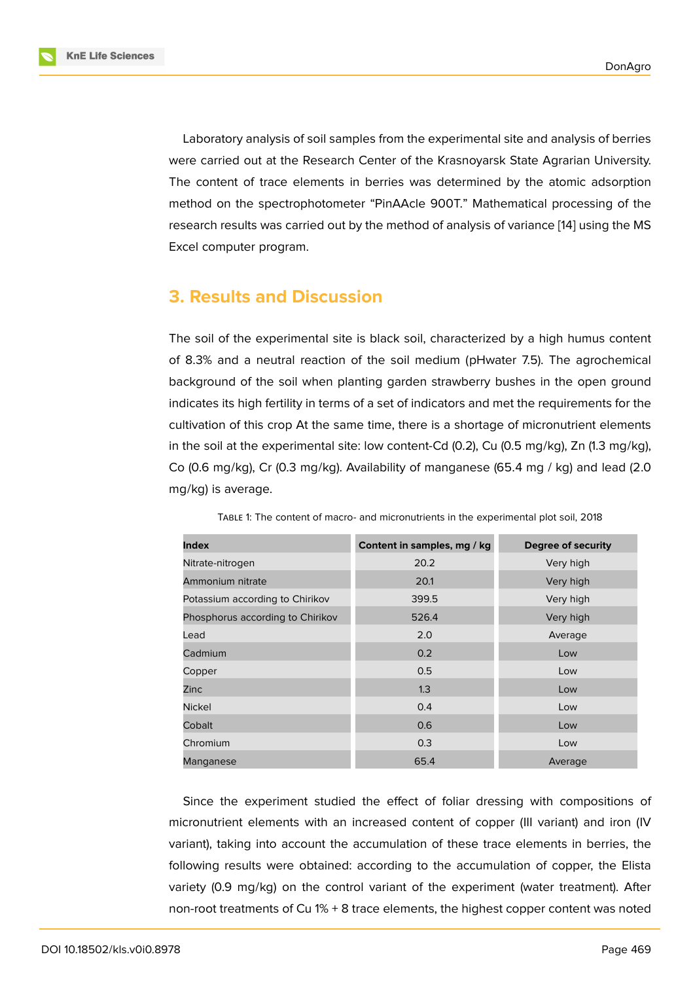Laboratory analysis of soil samples from the experimental site and analysis of berries were carried out at the Research Center of the Krasnoyarsk State Agrarian University. The content of trace elements in berries was determined by the atomic adsorption method on the spectrophotometer "PinAAcle 900T." Mathematical processing of the research results was carried out by the method of analysis of variance [14] using the MS Excel computer program.

### **3. Results and Discussion**

The soil of the experimental site is black soil, characterized by a high humus content of 8.3% and a neutral reaction of the soil medium (pHwater 7.5). The agrochemical background of the soil when planting garden strawberry bushes in the open ground indicates its high fertility in terms of a set of indicators and met the requirements for the cultivation of this crop At the same time, there is a shortage of micronutrient elements in the soil at the experimental site: low content-Cd (0.2), Cu (0.5 mg/kg), Zn (1.3 mg/kg), Co (0.6 mg/kg), Cr (0.3 mg/kg). Availability of manganese (65.4 mg / kg) and lead (2.0 mg/kg) is average.

| <b>Index</b>                     | Content in samples, mg / kg | Degree of security |  |  |
|----------------------------------|-----------------------------|--------------------|--|--|
| Nitrate-nitrogen                 | 20.2                        | Very high          |  |  |
| Ammonium nitrate                 | 20.1                        | Very high          |  |  |
| Potassium according to Chirikov  | 399.5                       | Very high          |  |  |
| Phosphorus according to Chirikov | 526.4                       | Very high          |  |  |
| Lead                             | 2.0                         | Average            |  |  |
| Cadmium                          | 0.2                         | Low                |  |  |
| Copper                           | 0.5                         | Low                |  |  |
| Zinc                             | 1.3                         | Low                |  |  |
| <b>Nickel</b>                    | 0.4                         | Low                |  |  |
| Cobalt                           | 0.6                         | Low                |  |  |
| Chromium                         | 0.3                         | Low                |  |  |
| Manganese                        | 65.4                        | Average            |  |  |

TABLE 1: The content of macro- and micronutrients in the experimental plot soil, 2018

Since the experiment studied the effect of foliar dressing with compositions of micronutrient elements with an increased content of copper (III variant) and iron (IV variant), taking into account the accumulation of these trace elements in berries, the following results were obtained: according to the accumulation of copper, the Elista variety (0.9 mg/kg) on the control variant of the experiment (water treatment). After non-root treatments of Cu 1% + 8 trace elements, the highest copper content was noted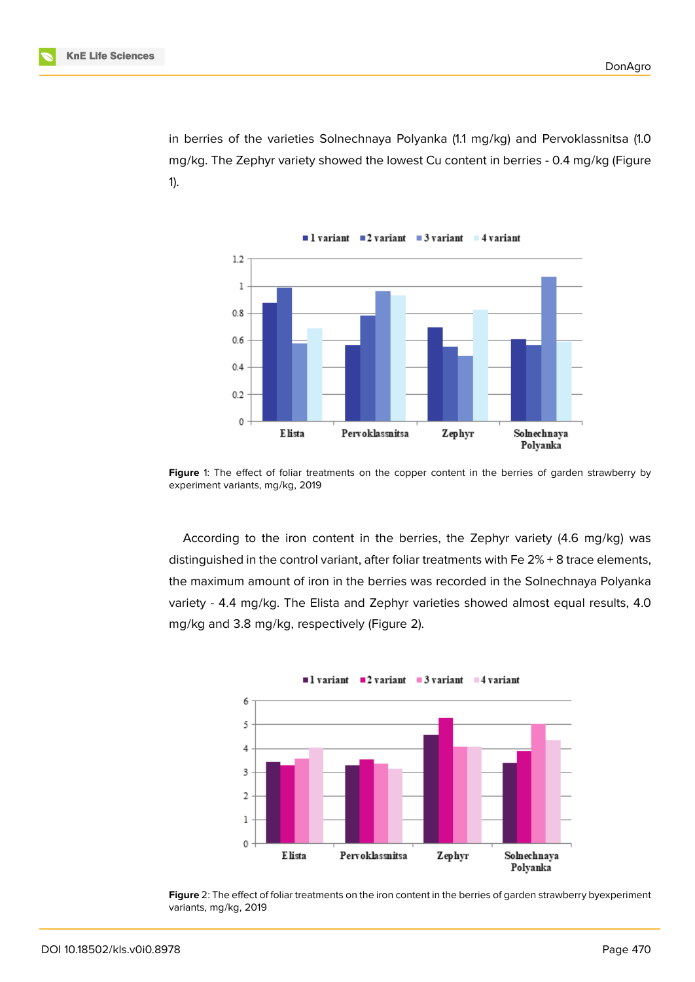in berries of the varieties Solnechnaya Polyanka (1.1 mg/kg) and Pervoklassnitsa (1.0 mg/kg. The Zephyr variety showed the lowest Cu content in berries - 0.4 mg/kg (Figure 1).



Figure 1: The effect of foliar treatments on the copper content in the berries of garden strawberry by experiment variants, mg/kg, 2019

According to the iron content in the berries, the Zephyr variety (4.6 mg/kg) was distinguished in the control variant, after foliar treatments with Fe 2% + 8 trace elements, the maximum amount of iron in the berries was recorded in the Solnechnaya Polyanka variety - 4.4 mg/kg. The Elista and Zephyr varieties showed almost equal results, 4.0 mg/kg and 3.8 mg/kg, respectively (Figure 2).



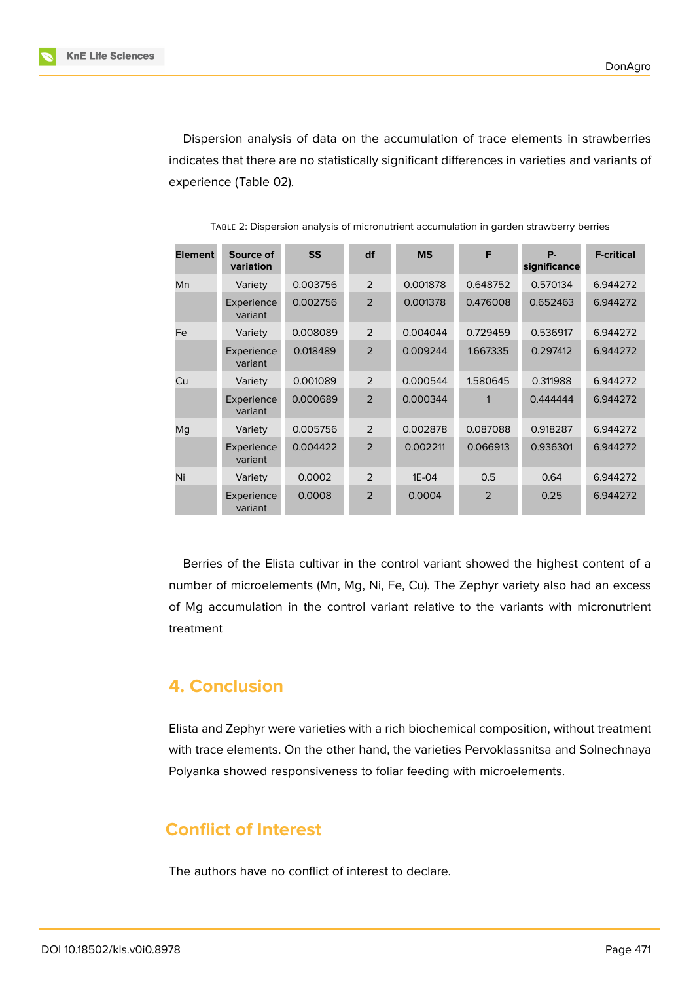

Dispersion analysis of data on the accumulation of trace elements in strawberries indicates that there are no statistically significant differences in varieties and variants of experience (Table 02).

| <b>Element</b> | Source of<br>variation | <b>SS</b> | df             | <b>MS</b> | F              | <b>P.</b><br>significance | <b>F-critical</b> |
|----------------|------------------------|-----------|----------------|-----------|----------------|---------------------------|-------------------|
| Mn             | Variety                | 0.003756  | 2              | 0.001878  | 0.648752       | 0.570134                  | 6.944272          |
|                | Experience<br>variant  | 0.002756  | $\overline{2}$ | 0.001378  | 0.476008       | 0.652463                  | 6.944272          |
| Fe             | Variety                | 0.008089  | $\mathfrak{D}$ | 0.004044  | 0.729459       | 0.536917                  | 6.944272          |
|                | Experience<br>variant  | 0.018489  | $\mathfrak{D}$ | 0.009244  | 1.667335       | 0.297412                  | 6.944272          |
| Cu             | Variety                | 0.001089  | $\overline{2}$ | 0.000544  | 1.580645       | 0.311988                  | 6.944272          |
|                | Experience<br>variant  | 0.000689  | $\mathfrak{D}$ | 0.000344  |                | 0.444444                  | 6.944272          |
| Mq             | Variety                | 0.005756  | $\overline{2}$ | 0.002878  | 0.087088       | 0.918287                  | 6.944272          |
|                | Experience<br>variant  | 0.004422  | $\overline{2}$ | 0.002211  | 0.066913       | 0.936301                  | 6.944272          |
| Ni             | Variety                | 0.0002    | $\mathcal{P}$  | $1E-04$   | 0.5            | 0.64                      | 6.944272          |
|                | Experience<br>variant  | 0.0008    | $\overline{2}$ | 0.0004    | $\overline{2}$ | 0.25                      | 6.944272          |

TABLE 2: Dispersion analysis of micronutrient accumulation in garden strawberry berries

Berries of the Elista cultivar in the control variant showed the highest content of a number of microelements (Mn, Mg, Ni, Fe, Cu). The Zephyr variety also had an excess of Mg accumulation in the control variant relative to the variants with micronutrient treatment

### **4. Conclusion**

Elista and Zephyr were varieties with a rich biochemical composition, without treatment with trace elements. On the other hand, the varieties Pervoklassnitsa and Solnechnaya Polyanka showed responsiveness to foliar feeding with microelements.

## **Conflict of Interest**

The authors have no conflict of interest to declare.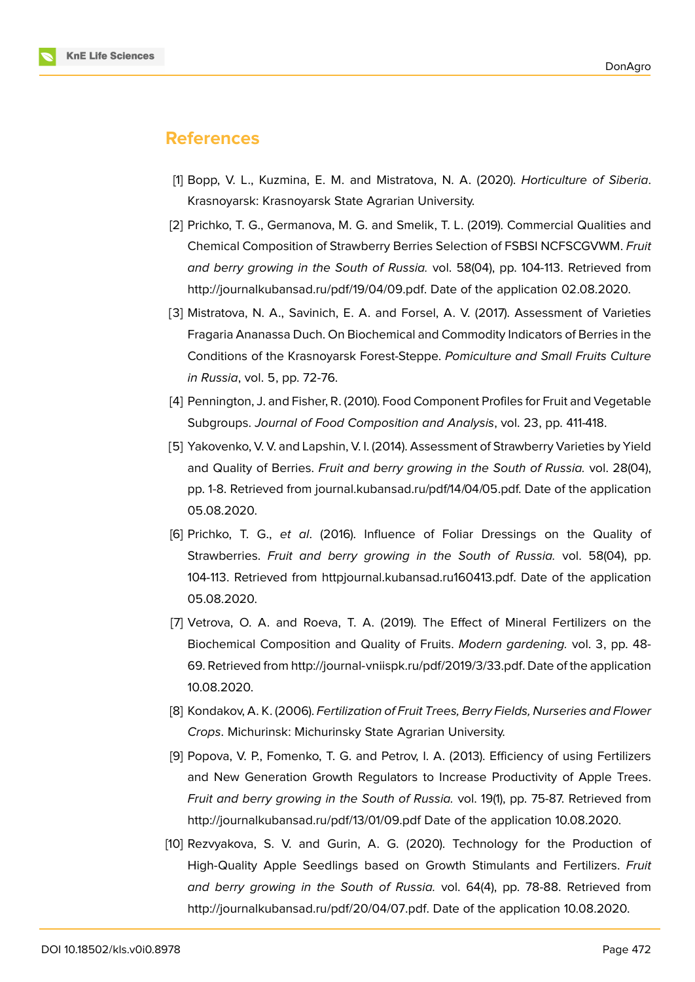#### **References**

- [1] Bopp, V. L., Kuzmina, E. M. and Mistratova, N. A. (2020). *Horticulture of Siberia*. Krasnoyarsk: Krasnoyarsk State Agrarian University.
- <span id="page-5-0"></span>[2] Prichko, T. G., Germanova, M. G. and Smelik, T. L. (2019). Commercial Qualities and Chemical Composition of Strawberry Berries Selection of FSBSI NCFSCGVWM. *Fruit and berry growing in the South of Russia.* vol. 58(04), pp. 104-113. Retrieved from http://journalkubansad.ru/pdf/19/04/09.pdf. Date of the application 02.08.2020.
- [3] Mistratova, N. A., Savinich, E. A. and Forsel, A. V. (2017). Assessment of Varieties Fragaria Ananassa Duch. On Biochemical and Commodity Indicators of Berries in the [Conditions of the Krasnoyarsk Forest-Step](http://journalkubansad.ru/pdf/19/04/09.pdf)pe. *Pomiculture and Small Fruits Culture in Russia*, vol. 5, pp. 72-76.
- <span id="page-5-1"></span>[4] Pennington, J. and Fisher, R. (2010). Food Component Profiles for Fruit and Vegetable Subgroups. *Journal of Food Composition and Analysis*, vol. 23, pp. 411-418.
- <span id="page-5-2"></span>[5] Yakovenko, V. V. and Lapshin, V. I. (2014). Assessment of Strawberry Varieties by Yield and Quality of Berries. *Fruit and berry growing in the South of Russia.* vol. 28(04), pp. 1-8. Retrieved from journal.kubansad.ru/pdf/14/04/05.pdf. Date of the application 05.08.2020.
- <span id="page-5-3"></span>[6] Prichko, T. G., *et al*. (2016). Influence of Foliar Dressings on the Quality of Strawberries. *Fruit and berry growing in the South of Russia.* vol. 58(04), pp. 104-113. Retrieved from httpjournal.kubansad.ru160413.pdf. Date of the application 05.08.2020.
- [7] Vetrova, O. A. and Roeva, T. A. (2019). The Effect of Mineral Fertilizers on the Biochemical Compositi[on and Quality of Fruits.](http journal.kubansad.ru 160413.pdf) *Modern gardening.* vol. 3, pp. 48- 69. Retrieved from http://journal-vniispk.ru/pdf/2019/3/33.pdf. Date of the application 10.08.2020.
- <span id="page-5-4"></span>[8] Kondakov, A. K. (2006). *Fertilization of Fruit Trees, Berry Fields, Nurseries and Flower Crops*. Michurinsk: [Michurinsky State Agrarian University.](http://journal-vniispk.ru/pdf/2019/3/33.pdf)
- [9] Popova, V. P., Fomenko, T. G. and Petrov, I. A. (2013). Efficiency of using Fertilizers and New Generation Growth Regulators to Increase Productivity of Apple Trees. *Fruit and berry growing in the South of Russia.* vol. 19(1), pp. 75-87. Retrieved from http://journalkubansad.ru/pdf/13/01/09.pdf Date of the application 10.08.2020.
- [10] Rezvyakova, S. V. and Gurin, A. G. (2020). Technology for the Production of High-Quality Apple Seedlings based on Growth Stimulants and Fertilizers. *Fruit [and berry growing in the South of Russ](http://journalkubansad.ru/pdf/13/01/09.pdf)ia.* vol. 64(4), pp. 78-88. Retrieved from http://journalkubansad.ru/pdf/20/04/07.pdf. Date of the application 10.08.2020.